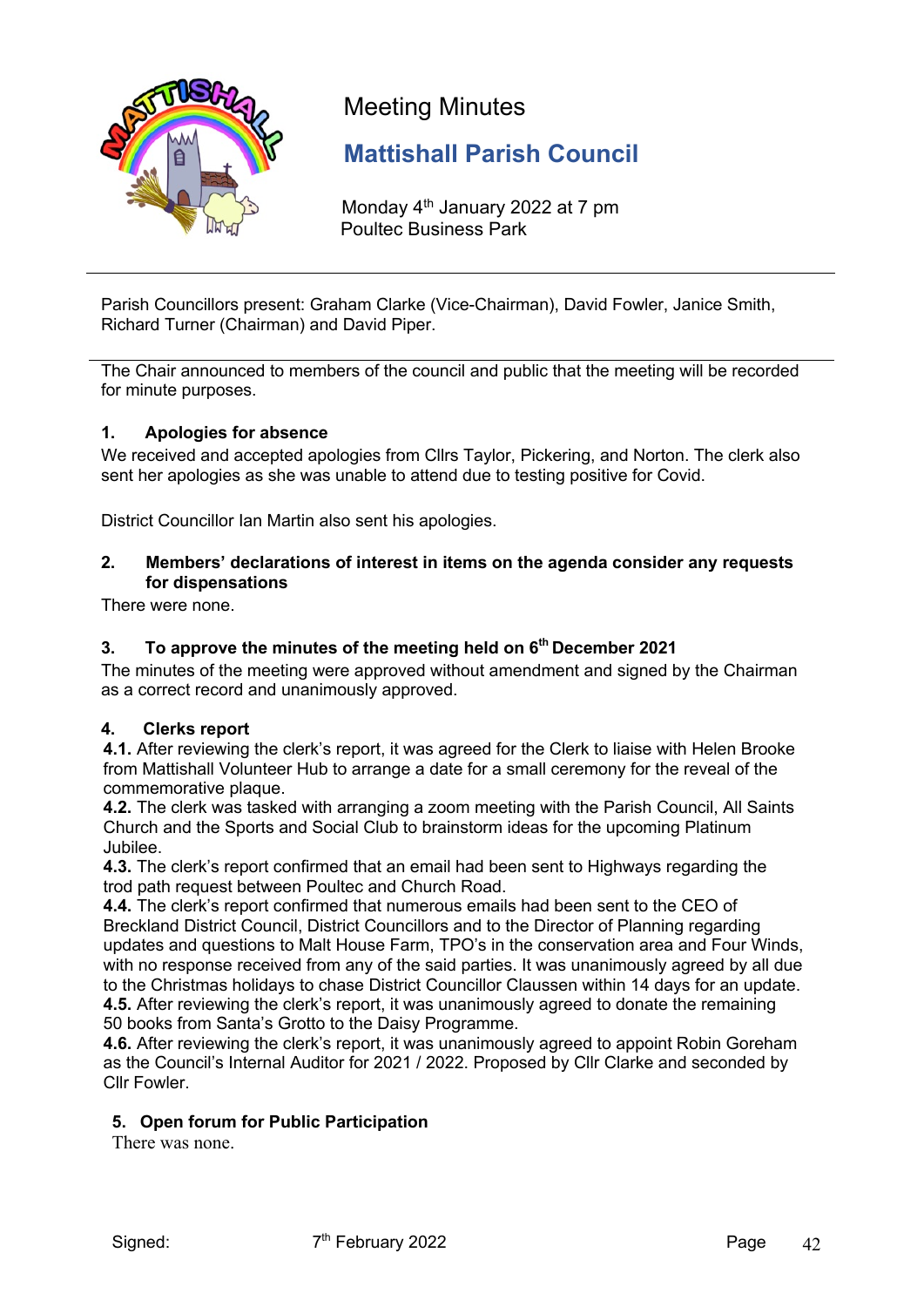

# Meeting Minutes

# **Mattishall Parish Council**

Monday 4<sup>th</sup> January 2022 at 7 pm Poultec Business Park

Parish Councillors present: Graham Clarke (Vice-Chairman), David Fowler, Janice Smith, Richard Turner (Chairman) and David Piper.

The Chair announced to members of the council and public that the meeting will be recorded for minute purposes.

# **1. Apologies for absence**

We received and accepted apologies from Cllrs Taylor, Pickering, and Norton. The clerk also sent her apologies as she was unable to attend due to testing positive for Covid.

District Councillor Ian Martin also sent his apologies.

# **2. Members' declarations of interest in items on the agenda consider any requests for dispensations**

There were none.

# **3. To approve the minutes of the meeting held on 6th December 2021**

The minutes of the meeting were approved without amendment and signed by the Chairman as a correct record and unanimously approved.

# **4. Clerks report**

**4.1.** After reviewing the clerk's report, it was agreed for the Clerk to liaise with Helen Brooke from Mattishall Volunteer Hub to arrange a date for a small ceremony for the reveal of the commemorative plaque.

**4.2.** The clerk was tasked with arranging a zoom meeting with the Parish Council, All Saints Church and the Sports and Social Club to brainstorm ideas for the upcoming Platinum Jubilee.

**4.3.** The clerk's report confirmed that an email had been sent to Highways regarding the trod path request between Poultec and Church Road.

**4.4.** The clerk's report confirmed that numerous emails had been sent to the CEO of Breckland District Council, District Councillors and to the Director of Planning regarding updates and questions to Malt House Farm, TPO's in the conservation area and Four Winds, with no response received from any of the said parties. It was unanimously agreed by all due to the Christmas holidays to chase District Councillor Claussen within 14 days for an update. **4.5.** After reviewing the clerk's report, it was unanimously agreed to donate the remaining 50 books from Santa's Grotto to the Daisy Programme.

**4.6.** After reviewing the clerk's report, it was unanimously agreed to appoint Robin Goreham as the Council's Internal Auditor for 2021 / 2022. Proposed by Cllr Clarke and seconded by Cllr Fowler.

# **5. Open forum for Public Participation**

There was none.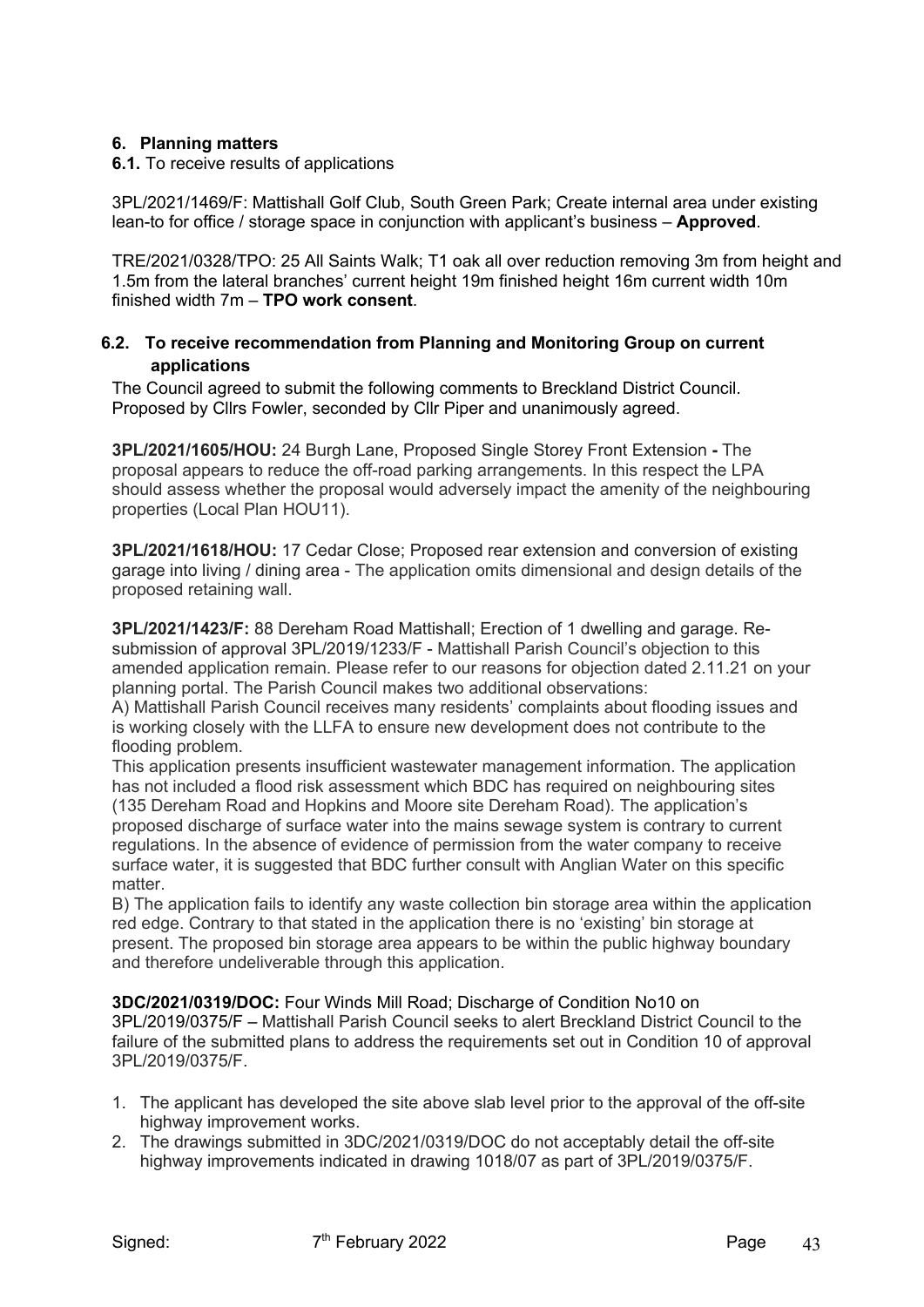# **6. Planning matters**

**6.1.** To receive results of applications

3PL/2021/1469/F: Mattishall Golf Club, South Green Park; Create internal area under existing lean-to for office / storage space in conjunction with applicant's business – **Approved**.

TRE/2021/0328/TPO: 25 All Saints Walk; T1 oak all over reduction removing 3m from height and 1.5m from the lateral branches' current height 19m finished height 16m current width 10m finished width 7m – **TPO work consent**.

# **6.2. To receive recommendation from Planning and Monitoring Group on current applications**

The Council agreed to submit the following comments to Breckland District Council. Proposed by Cllrs Fowler, seconded by Cllr Piper and unanimously agreed.

**3PL/2021/1605/HOU:** 24 Burgh Lane, Proposed Single Storey Front Extension **-** The proposal appears to reduce the off-road parking arrangements. In this respect the LPA should assess whether the proposal would adversely impact the amenity of the neighbouring properties (Local Plan HOU11).

**3PL/2021/1618/HOU:** 17 Cedar Close; Proposed rear extension and conversion of existing garage into living / dining area - The application omits dimensional and design details of the proposed retaining wall.

**3PL/2021/1423/F:** 88 Dereham Road Mattishall; Erection of 1 dwelling and garage. Resubmission of approval 3PL/2019/1233/F - Mattishall Parish Council's objection to this amended application remain. Please refer to our reasons for objection dated 2.11.21 on your planning portal. The Parish Council makes two additional observations:

A) Mattishall Parish Council receives many residents' complaints about flooding issues and is working closely with the LLFA to ensure new development does not contribute to the flooding problem.

This application presents insufficient wastewater management information. The application has not included a flood risk assessment which BDC has required on neighbouring sites (135 Dereham Road and Hopkins and Moore site Dereham Road). The application's proposed discharge of surface water into the mains sewage system is contrary to current regulations. In the absence of evidence of permission from the water company to receive surface water, it is suggested that BDC further consult with Anglian Water on this specific matter

B) The application fails to identify any waste collection bin storage area within the application red edge. Contrary to that stated in the application there is no 'existing' bin storage at present. The proposed bin storage area appears to be within the public highway boundary and therefore undeliverable through this application.

**3DC/2021/0319/DOC:** Four Winds Mill Road; Discharge of Condition No10 on 3PL/2019/0375/F – Mattishall Parish Council seeks to alert Breckland District Council to the failure of the submitted plans to address the requirements set out in Condition 10 of approval 3PL/2019/0375/F.

- 1. The applicant has developed the site above slab level prior to the approval of the off-site highway improvement works.
- 2. The drawings submitted in 3DC/2021/0319/DOC do not acceptably detail the off-site highway improvements indicated in drawing 1018/07 as part of 3PL/2019/0375/F.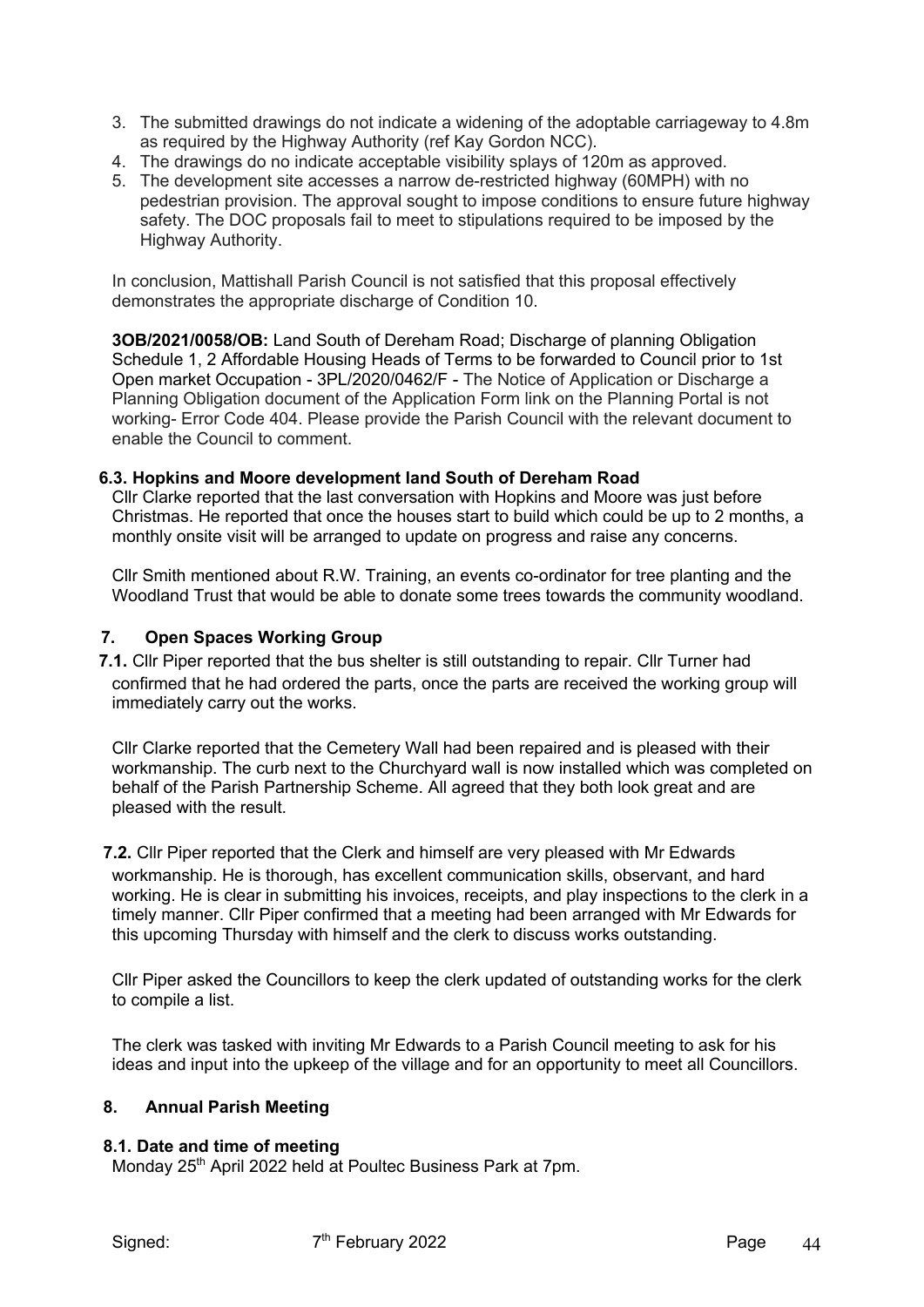- 3. The submitted drawings do not indicate a widening of the adoptable carriageway to 4.8m as required by the Highway Authority (ref Kay Gordon NCC).
- 4. The drawings do no indicate acceptable visibility splays of 120m as approved.
- 5. The development site accesses a narrow de-restricted highway (60MPH) with no pedestrian provision. The approval sought to impose conditions to ensure future highway safety. The DOC proposals fail to meet to stipulations required to be imposed by the Highway Authority.

In conclusion, Mattishall Parish Council is not satisfied that this proposal effectively demonstrates the appropriate discharge of Condition 10.

**3OB/2021/0058/OB:** Land South of Dereham Road; Discharge of planning Obligation Schedule 1, 2 Affordable Housing Heads of Terms to be forwarded to Council prior to 1st Open market Occupation - 3PL/2020/0462/F - The Notice of Application or Discharge a Planning Obligation document of the Application Form link on the Planning Portal is not working- Error Code 404. Please provide the Parish Council with the relevant document to enable the Council to comment.

#### **6.3. Hopkins and Moore development land South of Dereham Road**

Cllr Clarke reported that the last conversation with Hopkins and Moore was just before Christmas. He reported that once the houses start to build which could be up to 2 months, a monthly onsite visit will be arranged to update on progress and raise any concerns.

Cllr Smith mentioned about R.W. Training, an events co-ordinator for tree planting and the Woodland Trust that would be able to donate some trees towards the community woodland.

# **7. Open Spaces Working Group**

**7.1.** Cllr Piper reported that the bus shelter is still outstanding to repair. Cllr Turner had confirmed that he had ordered the parts, once the parts are received the working group will immediately carry out the works.

Cllr Clarke reported that the Cemetery Wall had been repaired and is pleased with their workmanship. The curb next to the Churchyard wall is now installed which was completed on behalf of the Parish Partnership Scheme. All agreed that they both look great and are pleased with the result.

**7.2.** Cllr Piper reported that the Clerk and himself are very pleased with Mr Edwards workmanship. He is thorough, has excellent communication skills, observant, and hard working. He is clear in submitting his invoices, receipts, and play inspections to the clerk in a timely manner. Cllr Piper confirmed that a meeting had been arranged with Mr Edwards for this upcoming Thursday with himself and the clerk to discuss works outstanding.

Cllr Piper asked the Councillors to keep the clerk updated of outstanding works for the clerk to compile a list.

The clerk was tasked with inviting Mr Edwards to a Parish Council meeting to ask for his ideas and input into the upkeep of the village and for an opportunity to meet all Councillors.

#### **8. Annual Parish Meeting**

#### **8.1. Date and time of meeting**

Monday 25<sup>th</sup> April 2022 held at Poultec Business Park at 7pm.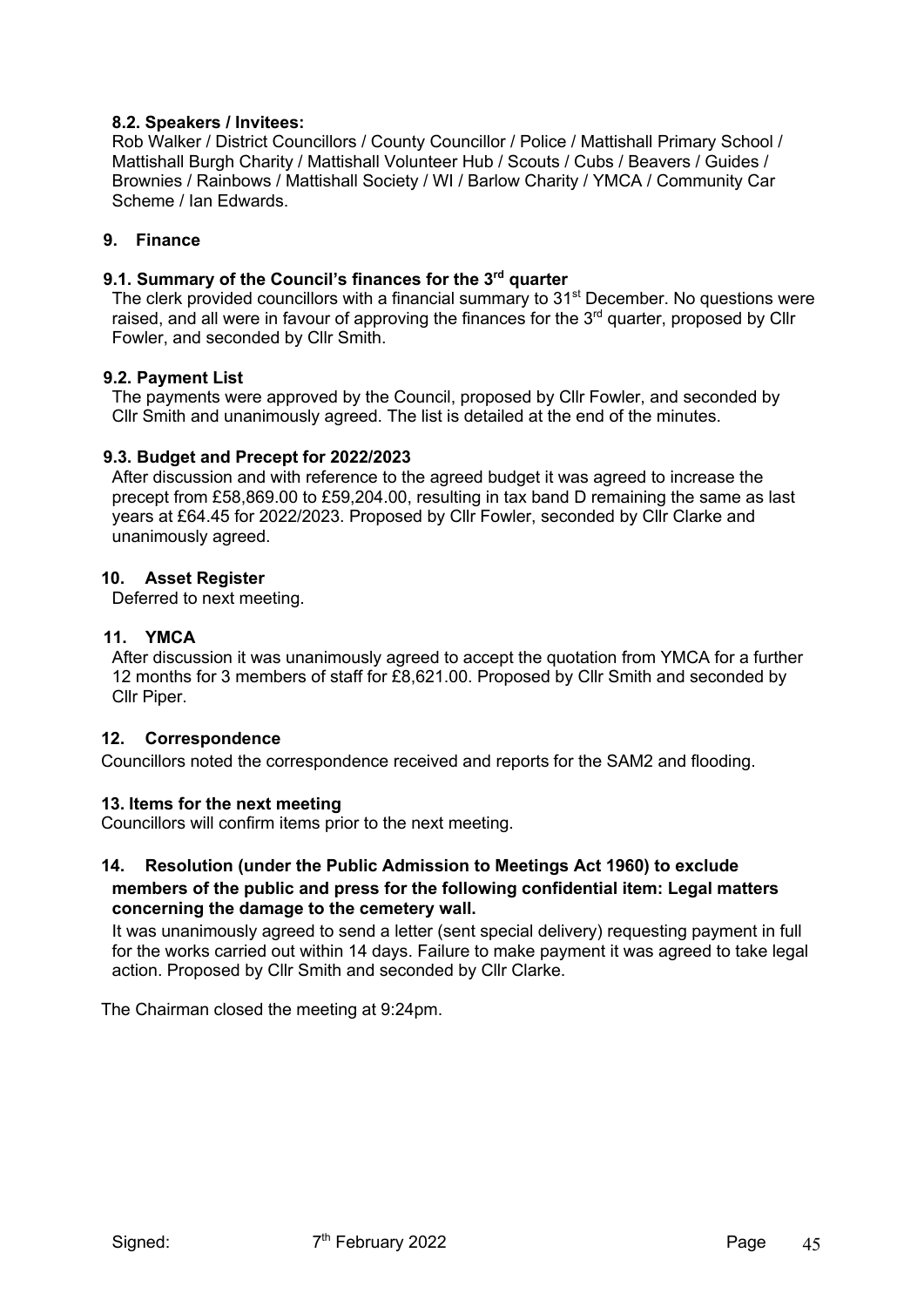# **8.2. Speakers / Invitees:**

Rob Walker / District Councillors / County Councillor / Police / Mattishall Primary School / Mattishall Burgh Charity / Mattishall Volunteer Hub / Scouts / Cubs / Beavers / Guides / Brownies / Rainbows / Mattishall Society / WI / Barlow Charity / YMCA / Community Car Scheme / Ian Edwards.

# **9. Finance**

# **9.1. Summary of the Council's finances for the 3rd quarter**

The clerk provided councillors with a financial summary to 31<sup>st</sup> December. No questions were raised, and all were in favour of approving the finances for the  $3<sup>rd</sup>$  quarter, proposed by Cllr Fowler, and seconded by Cllr Smith.

#### **9.2. Payment List**

The payments were approved by the Council, proposed by Cllr Fowler, and seconded by Cllr Smith and unanimously agreed. The list is detailed at the end of the minutes.

# **9.3. Budget and Precept for 2022/2023**

After discussion and with reference to the agreed budget it was agreed to increase the precept from £58,869.00 to £59,204.00, resulting in tax band D remaining the same as last years at £64.45 for 2022/2023. Proposed by Cllr Fowler, seconded by Cllr Clarke and unanimously agreed.

#### **10. Asset Register**

Deferred to next meeting.

# **11. YMCA**

After discussion it was unanimously agreed to accept the quotation from YMCA for a further 12 months for 3 members of staff for £8,621.00. Proposed by Cllr Smith and seconded by Cllr Piper.

# **12. Correspondence**

Councillors noted the correspondence received and reports for the SAM2 and flooding.

# **13. Items for the next meeting**

Councillors will confirm items prior to the next meeting.

#### **14. Resolution (under the Public Admission to Meetings Act 1960) to exclude members of the public and press for the following confidential item: Legal matters concerning the damage to the cemetery wall.**

It was unanimously agreed to send a letter (sent special delivery) requesting payment in full for the works carried out within 14 days. Failure to make payment it was agreed to take legal action. Proposed by Cllr Smith and seconded by Cllr Clarke.

The Chairman closed the meeting at 9:24pm.